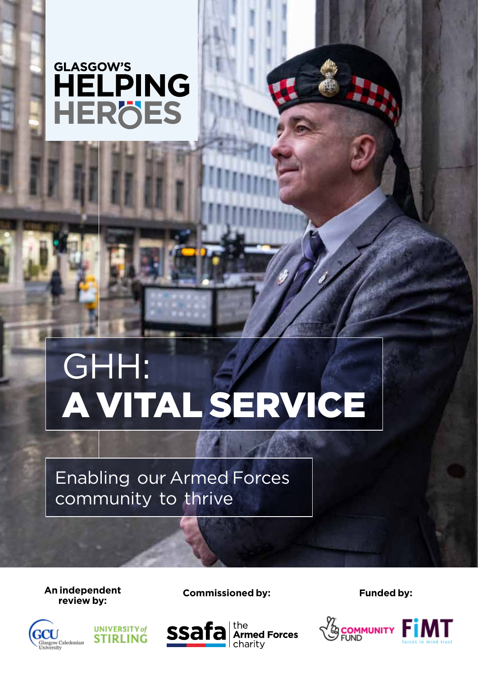# GLASGOW'S HELPING HERÖES

# GHH: A VITAL SERVICE

Enabling our Armed Forces community to thrive

**An independent** 



**UNIVERSITY** of



**review by: Commissioned by: Funded by:**

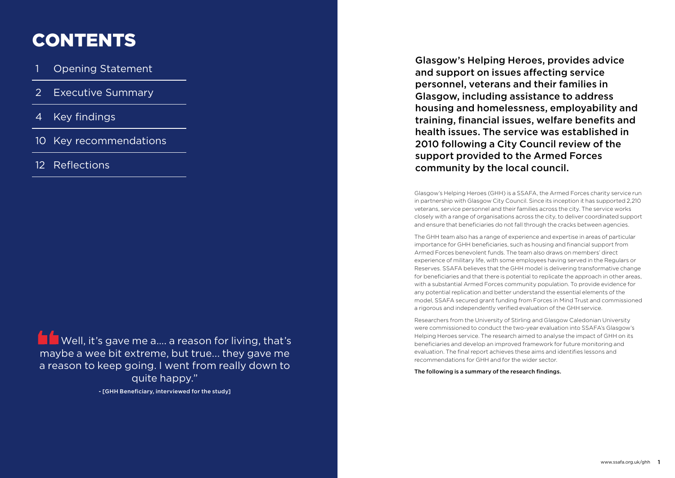# Glasgow's Helping Heroes, provides advice personnel, veterans and their families in Glasgow, including assistance to address housing and homelessness, employability and training, financial issues, welfare benefits and health issues. The service was established in 2010 following a City Council review of the

and support on issues affecting service support provided to the Armed Forces community by the local council.

Glasgow's Helping Heroes (GHH) is a SSAFA, the Armed Forces charity service run in partnership with Glasgow City Council. Since its inception it has supported 2,210 veterans, service personnel and their families across the city. The service works closely with a range of organisations across the city, to deliver coordinated support and ensure that beneficiaries do not fall through the cracks between agencies.

Well, it's gave me a.... a reason for living, that's maybe a wee bit extreme, but true... they gave me a reason to keep going. I went from really down to quite happy."

- **Opening Statement**
- **Executive Summary**
- **Key findings**
- 10 Key recommendations
- 12 Reflections

The GHH team also has a range of experience and expertise in areas of particular importance for GHH beneficiaries, such as housing and financial support from Armed Forces benevolent funds. The team also draws on members' direct experience of military life, with some employees having served in the Regulars or Reserves. SSAFA believes that the GHH model is delivering transformative change for beneficiaries and that there is potential to replicate the approach in other areas, with a substantial Armed Forces community population. To provide evidence for any potential replication and better understand the essential elements of the model, SSAFA secured grant funding from Forces in Mind Trust and commissioned a rigorous and independently verified evaluation of the GHH service.

Researchers from the University of Stirling and Glasgow Caledonian University were commissioned to conduct the two-year evaluation into SSAFA's Glasgow's Helping Heroes service. The research aimed to analyse the impact of GHH on its beneficiaries and develop an improved framework for future monitoring and evaluation. The final report achieves these aims and identifies lessons and recommendations for GHH and for the wider sector.

The following is a summary of the research findings.

- [GHH Beneficiary, interviewed for the study]

# CONTENTS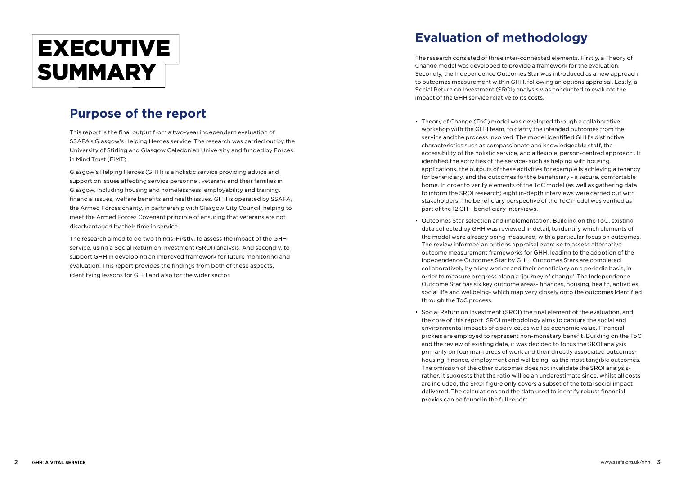This report is the final output from a two-year independent evaluation of SSAFA's Glasgow's Helping Heroes service. The research was carried out by the University of Stirling and Glasgow Caledonian University and funded by Forces in Mind Trust (FiMT).

Glasgow's Helping Heroes (GHH) is a holistic service providing advice and support on issues affecting service personnel, veterans and their families in Glasgow, including housing and homelessness, employability and training, financial issues, welfare benefits and health issues. GHH is operated by SSAFA, the Armed Forces charity, in partnership with Glasgow City Council, helping to meet the Armed Forces Covenant principle of ensuring that veterans are not disadvantaged by their time in service.

The research aimed to do two things. Firstly, to assess the impact of the GHH service, using a Social Return on Investment (SROI) analysis. And secondly, to support GHH in developing an improved framework for future monitoring and evaluation. This report provides the findings from both of these aspects, identifying lessons for GHH and also for the wider sector.

# EXECUTIVE SUMMARY

# **Purpose of the report**

# **Evaluation of methodology**

The research consisted of three inter-connected elements. Firstly, a Theory of Change model was developed to provide a framework for the evaluation. Secondly, the Independence Outcomes Star was introduced as a new approach to outcomes measurement within GHH, following an options appraisal. Lastly, a Social Return on Investment (SROI) analysis was conducted to evaluate the impact of the GHH service relative to its costs.

• Theory of Change (ToC) model was developed through a collaborative workshop with the GHH team, to clarify the intended outcomes from the service and the process involved. The model identified GHH's distinctive characteristics such as compassionate and knowledgeable staff, the accessibility of the holistic service, and a flexible, person-centred approach . It identified the activities of the service- such as helping with housing applications, the outputs of these activities for example is achieving a tenancy for beneficiary, and the outcomes for the beneficiary - a secure, comfortable home. In order to verify elements of the ToC model (as well as gathering data to inform the SROI research) eight in-depth interviews were carried out with stakeholders. The beneficiary perspective of the ToC model was verified as

• Outcomes Star selection and implementation. Building on the ToC, existing data collected by GHH was reviewed in detail, to identify which elements of the model were already being measured, with a particular focus on outcomes. The review informed an options appraisal exercise to assess alternative outcome measurement frameworks for GHH, leading to the adoption of the Independence Outcomes Star by GHH. Outcomes Stars are completed collaboratively by a key worker and their beneficiary on a periodic basis, in order to measure progress along a 'journey of change'. The Independence Outcome Star has six key outcome areas- finances, housing, health, activities, social life and wellbeing- which map very closely onto the outcomes identified

- part of the 12 GHH beneficiary interviews.
- through the ToC process.
- proxies can be found in the full report.

• Social Return on Investment (SROI) the final element of the evaluation, and the core of this report. SROI methodology aims to capture the social and environmental impacts of a service, as well as economic value. Financial proxies are employed to represent non-monetary benefit. Building on the ToC and the review of existing data, it was decided to focus the SROI analysis primarily on four main areas of work and their directly associated outcomeshousing, finance, employment and wellbeing- as the most tangible outcomes. The omission of the other outcomes does not invalidate the SROI analysisrather, it suggests that the ratio will be an underestimate since, whilst all costs are included, the SROI figure only covers a subset of the total social impact delivered. The calculations and the data used to identify robust financial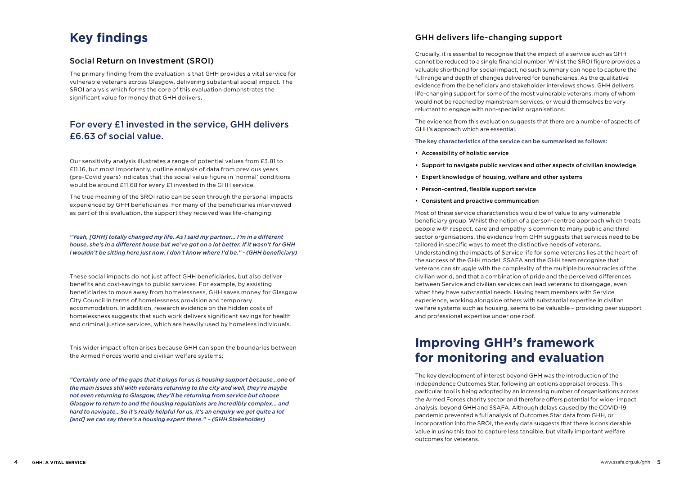# **Key findings**

### Social Return on Investment (SROI)

The primary finding from the evaluation is that GHH provides a vital service for vulnerable veterans across Glasgow, delivering substantial social impact. The SROI analysis which forms the core of this evaluation demonstrates the significant value for money that GHH delivers.

### For every £1 invested in the service, GHH delivers £6.63 of social value.

Our sensitivity analysis illustrates a range of potential values from £3.81 to £11.16, but most importantly, outline analysis of data from previous years (pre-Covid years) indicates that the social value figure in 'normal' conditions would be around £11.68 for every £1 invested in the GHH service.

The true meaning of the SROI ratio can be seen through the personal impacts experienced by GHH beneficiaries. For many of the beneficiaries interviewed as part of this evaluation, the support they received was life-changing:

*"Yeah, [GHH] totally changed my life. As I said my partner... I'm in a different house, she's in a different house but we've got on a lot better. If it wasn't for GHH I wouldn't be sitting here just now. I don't know where I'd be." - (GHH beneficiary)*

These social impacts do not just affect GHH beneficiaries, but also deliver benefits and cost-savings to public services. For example, by assisting beneficiaries to move away from homelessness, GHH saves money for Glasgow City Council in terms of homelessness provision and temporary accommodation. In addition, research evidence on the hidden costs of homelessness suggests that such work delivers significant savings for health and criminal justice services, which are heavily used by homeless individuals.

This wider impact often arises because GHH can span the boundaries between the Armed Forces world and civilian welfare systems:

*"Certainly one of the gaps that it plugs for us is housing support because…one of the main issues still with veterans returning to the city and well, they're maybe not even returning to Glasgow, they'll be returning from service but choose Glasgow to return to and the housing regulations are incredibly complex... and hard to navigate…So it's really helpful for us, it's an enquiry we get quite a lot [and] we can say there's a housing expert there." - (GHH Stakeholder)*

### GHH delivers life-changing support

Crucially, it is essential to recognise that the impact of a service such as GHH cannot be reduced to a single financial number. Whilst the SROI figure provides a valuable shorthand for social impact, no such summary can hope to capture the full range and depth of changes delivered for beneficiaries. As the qualitative evidence from the beneficiary and stakeholder interviews shows, GHH delivers life-changing support for some of the most vulnerable veterans, many of whom would not be reached by mainstream services, or would themselves be very reluctant to engage with non-specialist organisations.

The evidence from this evaluation suggests that there are a number of aspects of GHH's approach which are essential.

The key characteristics of the service can be summarised as follows:

#### • Support to navigate public services and other aspects of civilian knowledge

- Accessibility of holistic service
- 
- Expert knowledge of housing, welfare and other systems
- Person-centred, flexible support service
- Consistent and proactive communication

Most of these service characteristics would be of value to any vulnerable beneficiary group. Whilst the notion of a person-centred approach which treats people with respect, care and empathy is common to many public and third sector organisations, the evidence from GHH suggests that services need to be tailored in specific ways to meet the distinctive needs of veterans. Understanding the impacts of Service life for some veterans lies at the heart of the success of the GHH model. SSAFA and the GHH team recognise that veterans can struggle with the complexity of the multiple bureaucracies of the civilian world, and that a combination of pride and the perceived differences between Service and civilian services can lead veterans to disengage, even when they have substantial needs. Having team members with Service experience, working alongside others with substantial expertise in civilian welfare systems such as housing, seems to be valuable – providing peer support and professional expertise under one roof.

# **Improving GHH's framework for monitoring and evaluation**

The key development of interest beyond GHH was the introduction of the Independence Outcomes Star, following an options appraisal process. This particular tool is being adopted by an increasing number of organisations across the Armed Forces charity sector and therefore offers potential for wider impact analysis, beyond GHH and SSAFA. Although delays caused by the COVID-19 pandemic prevented a full analysis of Outcomes Star data from GHH, or incorporation into the SROI, the early data suggests that there is considerable value in using this tool to capture less tangible, but vitally important welfare outcomes for veterans.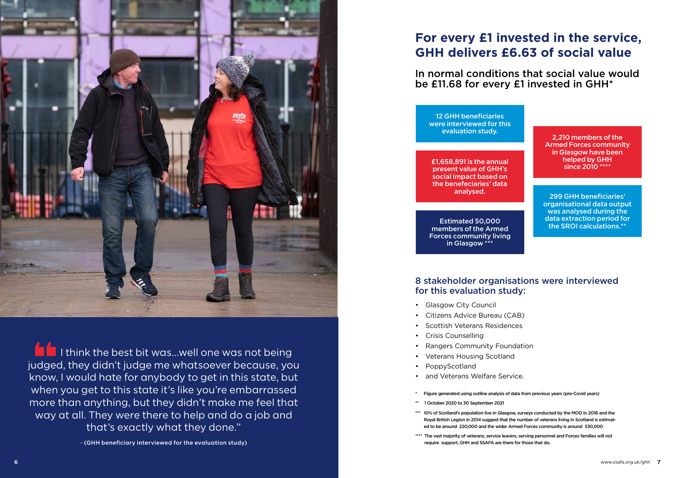

**I I think the best bit was...well one was not being** judged, they didn't judge me whatsoever because, you know, I would hate for anybody to get in this state, but when you get to this state it's like you're embarrassed more than anything, but they didn't make me feel that way at all. They were there to help and do a job and that's exactly what they done."

- (GHH beneficiary interviewed for the evaluation study)

# **For every £1 invested in the service, GHH delivers £6.63 of social value**

In normal conditions that social value would be £11.68 for every £1 invested in GHH\*

\*\*\* 10% of Scotland's population live in Glasgow, surveys conducted by the MOD in 2016 and the Royal British Legion in 2014 suggest that the number of veterans living in Scotland is estimated to be around 220,000 and the wider Armed Forces community is around 530,000

\*\*\*\* The vast majority of veterans, service leavers, serving personnel and Forces families will not



Figure generated using outline analysis of data from previous years (pre-Covid years)

£1,658,891 is the annual present value of GHH's social impact based on the benefeciaries' data analysed.

Estimated 50,000 members of the Armed Forces community living in Glasgow \*\*\*

- Glasgow City Council
- Citizens Advice Bureau (CAB)
- Scottish Veterans Residences
- Crisis Counselling
- Rangers Community Foundation
- Veterans Housing Scotland
- PoppyScotland
- and Veterans Welfare Service.
- 
- \*\* 1 October 2020 to 30 September 2021
- 
- require support, GHH and SSAFA are there for those that do.

12 GHH beneficiaries were interviewed for this evaluation study.

### 8 stakeholder organisations were interviewed for this evaluation study: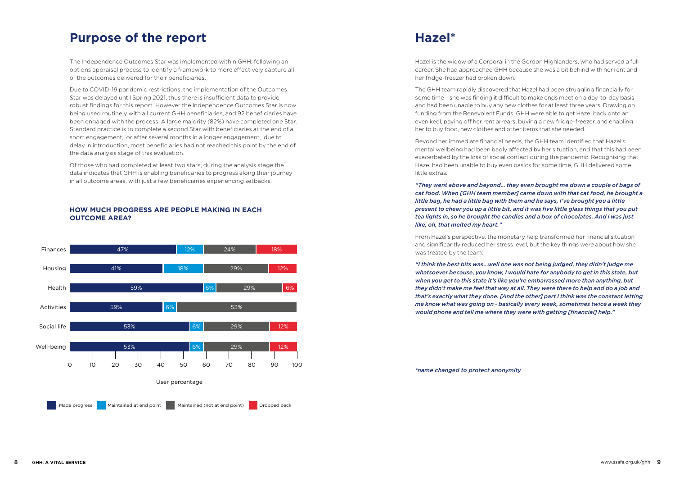The Independence Outcomes Star was implemented within GHH, following an options appraisal process to identify a framework to more effectively capture all of the outcomes delivered for their beneficiaries.

Due to COVID-19 pandemic restrictions, the implementation of the Outcomes Star was delayed until Spring 2021, thus there is insufficient data to provide robust findings for this report. However the Independence Outcomes Star is now being used routinely with all current GHH beneficiaries, and 92 beneficiaries have been engaged with the process. A large majority (82%) have completed one Star. Standard practice is to complete a second Star with beneficiaries at the end of a short engagement, or after several months in a longer engagement, due to delay in introduction, most beneficiaries had not reached this point by the end of the data analysis stage of this evaluation.

Of those who had completed at least two stars, during the analysis stage the data indicates that GHH is enabling beneficaries to progress along their journey in all outcome areas, with just a few beneficiaries experiencing setbacks.

## **Purpose of the report**

#### **HOW MUCH PROGRESS ARE PEOPLE MAKING IN EACH OUTCOME AREA?**



# **Hazel\***

Hazel is the widow of a Corporal in the Gordon Highlanders, who had served a full career. She had approached GHH because she was a bit behind with her rent and her fridge-freezer had broken down.

The GHH team rapidly discovered that Hazel had been struggling financially for some time – she was finding it difficult to make ends meet on a day-to-day basis and had been unable to buy any new clothes for at least three years. Drawing on funding from the Benevolent Funds, GHH were able to get Hazel back onto an even keel, paying off her rent arrears, buying a new fridge-freezer, and enabling her to buy food, new clothes and other items that she needed.

Beyond her immediate financial needs, the GHH team identified that Hazel's mental wellbeing had been badly affected by her situation, and that this had been exacerbated by the loss of social contact during the pandemic. Recognising that Hazel had been unable to buy even basics for some time, GHH delivered some little extras:

*"They went above and beyond… they even brought me down a couple of bags of cat food. When [GHH team member] came down with that cat food, he brought a little bag, he had a little bag with them and he says, I've brought you a little present to cheer you up a little bit, and it was five little glass things that you put tea lights in, so he brought the candles and a box of chocolates. And I was just like, oh, that melted my heart."*

From Hazel's perspective, the monetary help transformed her financial situation and significantly reduced her stress level, but the key things were about how she was treated by the team:

*"I think the best bits was…well one was not being judged, they didn't judge me whatsoever because, you know, I would hate for anybody to get in this state, but when you get to this state it's like you're embarrassed more than anything, but they didn't make me feel that way at all. They were there to help and do a job and that's exactly what they done. [And the other] part I think was the constant letting me know what was going on - basically every week, sometimes twice a week they would phone and tell me where they were with getting [financial] help."*

*\*name changed to protect anonymity*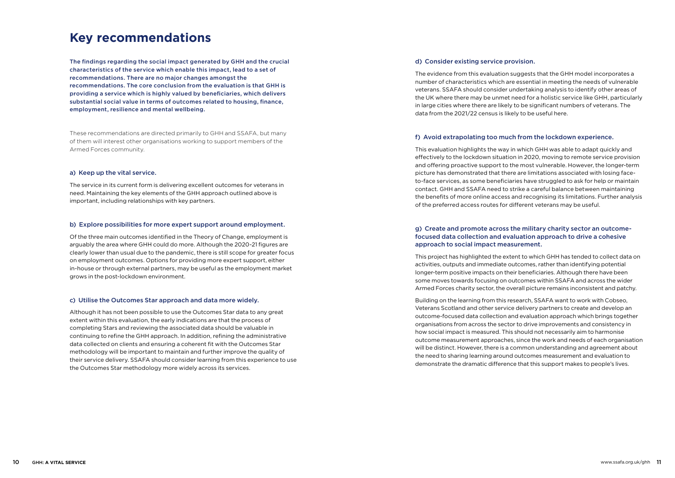# **Key recommendations**

The findings regarding the social impact generated by GHH and the crucial characteristics of the service which enable this impact, lead to a set of recommendations. There are no major changes amongst the recommendations. The core conclusion from the evaluation is that GHH is providing a service which is highly valued by beneficiaries, which delivers substantial social value in terms of outcomes related to housing, finance, employment, resilience and mental wellbeing.

These recommendations are directed primarily to GHH and SSAFA, but many of them will interest other organisations working to support members of the Armed Forces community.

#### a) Keep up the vital service.

The service in its current form is delivering excellent outcomes for veterans in need. Maintaining the key elements of the GHH approach outlined above is important, including relationships with key partners.

#### b) Explore possibilities for more expert support around employment.

Of the three main outcomes identified in the Theory of Change, employment is arguably the area where GHH could do more. Although the 2020-21 figures are clearly lower than usual due to the pandemic, there is still scope for greater focus on employment outcomes. Options for providing more expert support, either in-house or through external partners, may be useful as the employment market grows in the post-lockdown environment.

#### c) Utilise the Outcomes Star approach and data more widely.

Although it has not been possible to use the Outcomes Star data to any great extent within this evaluation, the early indications are that the process of completing Stars and reviewing the associated data should be valuable in continuing to refine the GHH approach. In addition, refining the administrative data collected on clients and ensuring a coherent fit with the Outcomes Star methodology will be important to maintain and further improve the quality of their service delivery. SSAFA should consider learning from this experience to use the Outcomes Star methodology more widely across its services.

### d) Consider existing service provision.

The evidence from this evaluation suggests that the GHH model incorporates a number of characteristics which are essential in meeting the needs of vulnerable veterans. SSAFA should consider undertaking analysis to identify other areas of the UK where there may be unmet need for a holistic service like GHH, particularly in large cities where there are likely to be significant numbers of veterans. The data from the 2021/22 census is likely to be useful here.

#### f) Avoid extrapolating too much from the lockdown experience.

This evaluation highlights the way in which GHH was able to adapt quickly and effectively to the lockdown situation in 2020, moving to remote service provision and offering proactive support to the most vulnerable. However, the longer-term picture has demonstrated that there are limitations associated with losing faceto-face services, as some beneficiaries have struggled to ask for help or maintain contact. GHH and SSAFA need to strike a careful balance between maintaining the benefits of more online access and recognising its limitations. Further analysis of the preferred access routes for different veterans may be useful.

#### g) Create and promote across the military charity sector an outcomefocused data collection and evaluation approach to drive a cohesive approach to social impact measurement.

This project has highlighted the extent to which GHH has tended to collect data on activities, outputs and immediate outcomes, rather than identifying potential longer-term positive impacts on their beneficiaries. Although there have been some moves towards focusing on outcomes within SSAFA and across the wider Armed Forces charity sector, the overall picture remains inconsistent and patchy.

Building on the learning from this research, SSAFA want to work with Cobseo, Veterans Scotland and other service delivery partners to create and develop an outcome-focused data collection and evaluation approach which brings together organisations from across the sector to drive improvements and consistency in how social impact is measured. This should not necessarily aim to harmonise outcome measurement approaches, since the work and needs of each organisation will be distinct. However, there is a common understanding and agreement about the need to sharing learning around outcomes measurement and evaluation to demonstrate the dramatic difference that this support makes to people's lives.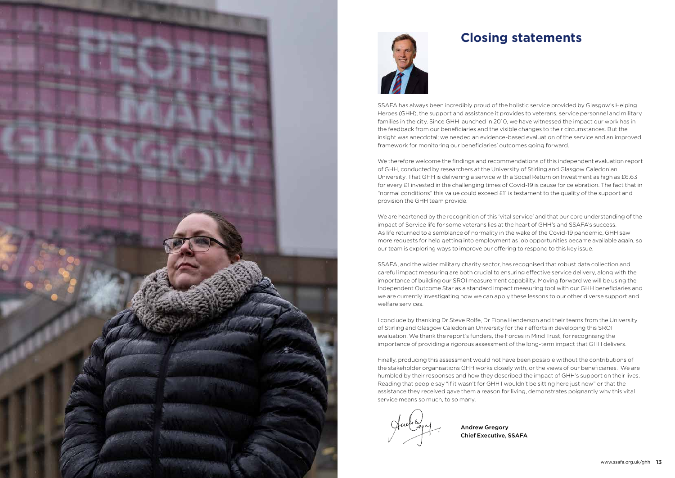



# **Closing statements**

SSAFA has always been incredibly proud of the holistic service provided by Glasgow's Helping Heroes (GHH), the support and assistance it provides to veterans, service personnel and military families in the city. Since GHH launched in 2010, we have witnessed the impact our work has in the feedback from our beneficiaries and the visible changes to their circumstances. But the insight was anecdotal; we needed an evidence-based evaluation of the service and an improved framework for monitoring our beneficiaries' outcomes going forward.

We therefore welcome the findings and recommendations of this independent evaluation report of GHH, conducted by researchers at the University of Stirling and Glasgow Caledonian University. That GHH is delivering a service with a Social Return on Investment as high as £6.63 for every £1 invested in the challenging times of Covid-19 is cause for celebration. The fact that in "normal conditions" this value could exceed £11 is testament to the quality of the support and provision the GHH team provide.

We are heartened by the recognition of this 'vital service' and that our core understanding of the impact of Service life for some veterans lies at the heart of GHH's and SSAFA's success. As life returned to a semblance of normality in the wake of the Covid-19 pandemic, GHH saw more requests for help getting into employment as job opportunities became available again, so our team is exploring ways to improve our offering to respond to this key issue.

SSAFA, and the wider military charity sector, has recognised that robust data collection and careful impact measuring are both crucial to ensuring effective service delivery, along with the importance of building our SROI measurement capability. Moving forward we will be using the Independent Outcome Star as a standard impact measuring tool with our GHH beneficiaries and we are currently investigating how we can apply these lessons to our other diverse support and welfare services.

I conclude by thanking Dr Steve Rolfe, Dr Fiona Henderson and their teams from the University of Stirling and Glasgow Caledonian University for their efforts in developing this SROI evaluation. We thank the report's funders, the Forces in Mind Trust, for recognising the importance of providing a rigorous assessment of the long-term impact that GHH delivers.

Finally, producing this assessment would not have been possible without the contributions of the stakeholder organisations GHH works closely with, or the views of our beneficiaries. We are humbled by their responses and how they described the impact of GHH's support on their lives. Reading that people say "if it wasn't for GHH I wouldn't be sitting here just now" or that the assistance they received gave them a reason for living, demonstrates poignantly why this vital service means so much, to so many.

Andrew Gregory Chief Executive, SSAFA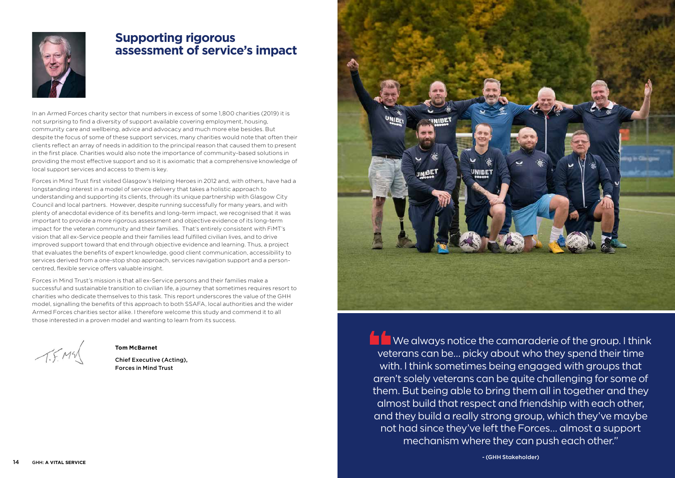

## **Supporting rigorous assessment of service's impact**

In an Armed Forces charity sector that numbers in excess of some 1,800 charities (2019) it is not surprising to find a diversity of support available covering employment, housing, community care and wellbeing, advice and advocacy and much more else besides. But despite the focus of some of these support services, many charities would note that often their clients reflect an array of needs in addition to the principal reason that caused them to present in the first place. Charities would also note the importance of community-based solutions in providing the most effective support and so it is axiomatic that a comprehensive knowledge of local support services and access to them is key.

Forces in Mind Trust first visited Glasgow's Helping Heroes in 2012 and, with others, have had a longstanding interest in a model of service delivery that takes a holistic approach to understanding and supporting its clients, through its unique partnership with Glasgow City Council and local partners. However, despite running successfully for many years, and with plenty of anecdotal evidence of its benefits and long-term impact, we recognised that it was important to provide a more rigorous assessment and objective evidence of its long-term impact for the veteran community and their families. That's entirely consistent with FiMT's vision that all ex-Service people and their families lead fulfilled civilian lives, and to drive improved support toward that end through objective evidence and learning. Thus, a project that evaluates the benefits of expert knowledge, good client communication, accessibility to services derived from a one-stop shop approach, services navigation support and a personcentred, flexible service offers valuable insight.

> We always notice the camaraderie of the group. I think veterans can be… picky about who they spend their time with. I think sometimes being engaged with groups that aren't solely veterans can be quite challenging for some of them. But being able to bring them all in together and they almost build that respect and friendship with each other, and they build a really strong group, which they've maybe not had since they've left the Forces… almost a support mechanism where they can push each other."

Forces in Mind Trust's mission is that all ex-Service persons and their families make a successful and sustainable transition to civilian life, a journey that sometimes requires resort to charities who dedicate themselves to this task. This report underscores the value of the GHH model, signalling the benefits of this approach to both SSAFA, local authorities and the wider Armed Forces charities sector alike. I therefore welcome this study and commend it to all those interested in a proven model and wanting to learn from its success.

 $T.F.M4$ 

- (GHH Stakeholder)

#### **Tom McBarnet**

Chief Executive (Acting), Forces in Mind Trust